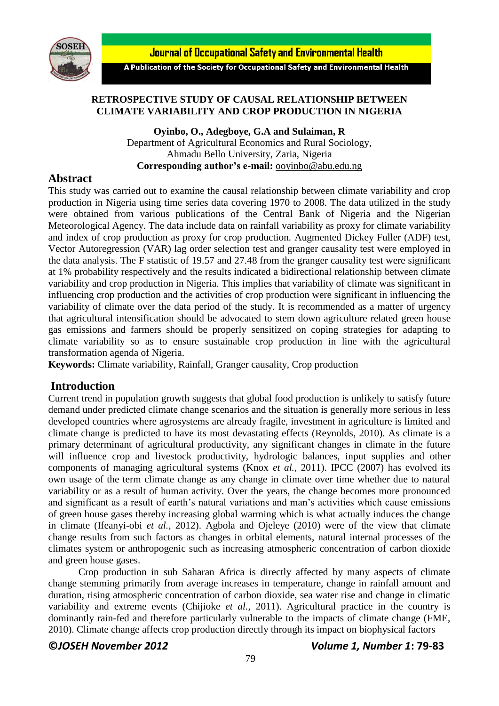

**Journal of Occupational Safety and Environmental Health** 

A Publication of the Society for Occupational Safety and Environmental Health

## **RETROSPECTIVE STUDY OF CAUSAL RELATIONSHIP BETWEEN CLIMATE VARIABILITY AND CROP PRODUCTION IN NIGERIA**

**Oyinbo, O., Adegboye, G.A and Sulaiman, R** Department of Agricultural Economics and Rural Sociology, Ahmadu Bello University, Zaria, Nigeria **Corresponding author's e-mail:** [ooyinbo@abu.edu.ng](mailto:ooyinbo@abu.edu.ng)

# **Abstract**

This study was carried out to examine the causal relationship between climate variability and crop production in Nigeria using time series data covering 1970 to 2008. The data utilized in the study were obtained from various publications of the Central Bank of Nigeria and the Nigerian Meteorological Agency. The data include data on rainfall variability as proxy for climate variability and index of crop production as proxy for crop production. Augmented Dickey Fuller (ADF) test, Vector Autoregression (VAR) lag order selection test and granger causality test were employed in the data analysis. The F statistic of 19.57 and 27.48 from the granger causality test were significant at 1% probability respectively and the results indicated a bidirectional relationship between climate variability and crop production in Nigeria. This implies that variability of climate was significant in influencing crop production and the activities of crop production were significant in influencing the variability of climate over the data period of the study. It is recommended as a matter of urgency that agricultural intensification should be advocated to stem down agriculture related green house gas emissions and farmers should be properly sensitized on coping strategies for adapting to climate variability so as to ensure sustainable crop production in line with the agricultural transformation agenda of Nigeria.

**Keywords:** Climate variability, Rainfall, Granger causality, Crop production

# **Introduction**

Current trend in population growth suggests that global food production is unlikely to satisfy future demand under predicted climate change scenarios and the situation is generally more serious in less developed countries where agrosystems are already fragile, investment in agriculture is limited and climate change is predicted to have its most devastating effects (Reynolds, 2010). As climate is a primary determinant of agricultural productivity, any significant changes in climate in the future will influence crop and livestock productivity, hydrologic balances, input supplies and other components of managing agricultural systems (Knox *et al.,* 2011). IPCC (2007) has evolved its own usage of the term climate change as any change in climate over time whether due to natural variability or as a result of human activity. Over the years, the change becomes more pronounced and significant as a result of earth's natural variations and man's activities which cause emissions of green house gases thereby increasing global warming which is what actually induces the change in climate (Ifeanyi-obi *et al.,* 2012). Agbola and Ojeleye (2010) were of the view that climate change results from such factors as changes in orbital elements, natural internal processes of the climates system or anthropogenic such as increasing atmospheric concentration of carbon dioxide and green house gases.

Crop production in sub Saharan Africa is directly affected by many aspects of climate change stemming primarily from average increases in temperature, change in rainfall amount and duration, rising atmospheric concentration of carbon dioxide, sea water rise and change in climatic variability and extreme events (Chijioke *et al.,* 2011). Agricultural practice in the country is dominantly rain-fed and therefore particularly vulnerable to the impacts of climate change (FME, 2010). Climate change affects crop production directly through its impact on biophysical factors

## **©***JOSEH November 2012 Volume 1, Number 1***: 79-83**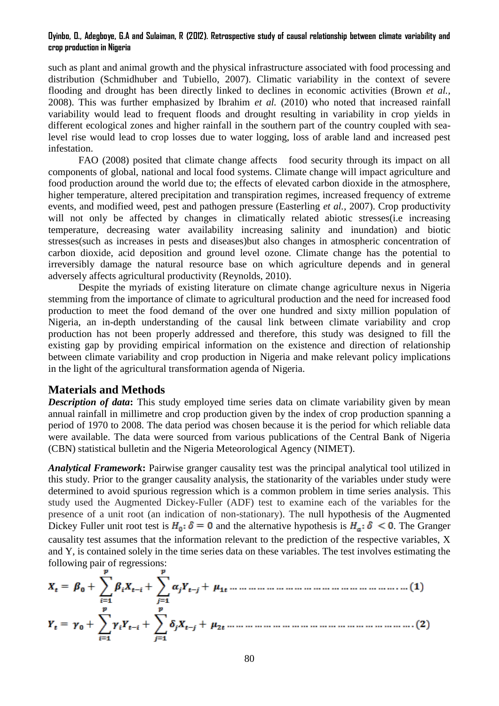#### **Oyinbo, O., Adegboye, G.A and Sulaiman, R (2012). Retrospective study of causal relationship between climate variability and crop production in Nigeria**

such as plant and animal growth and the physical infrastructure associated with food processing and distribution (Schmidhuber and Tubiello, 2007). Climatic variability in the context of severe flooding and drought has been directly linked to declines in economic activities (Brown *et al.,* 2008). This was further emphasized by Ibrahim *et al.* (2010) who noted that increased rainfall variability would lead to frequent floods and drought resulting in variability in crop yields in different ecological zones and higher rainfall in the southern part of the country coupled with sealevel rise would lead to crop losses due to water logging, loss of arable land and increased pest infestation.

FAO (2008) posited that climate change affects food security through its impact on all components of global, national and local food systems. Climate change will impact agriculture and food production around the world due to; the effects of elevated carbon dioxide in the atmosphere, higher temperature, altered precipitation and transpiration regimes, increased frequency of extreme events, and modified weed, pest and pathogen pressure (Easterling *et al.,* 2007). Crop productivity will not only be affected by changes in climatically related abiotic stresses (i.e increasing temperature, decreasing water availability increasing salinity and inundation) and biotic stresses(such as increases in pests and diseases)but also changes in atmospheric concentration of carbon dioxide, acid deposition and ground level ozone. Climate change has the potential to irreversibly damage the natural resource base on which agriculture depends and in general adversely affects agricultural productivity (Reynolds, 2010).

Despite the myriads of existing literature on climate change agriculture nexus in Nigeria stemming from the importance of climate to agricultural production and the need for increased food production to meet the food demand of the over one hundred and sixty million population of Nigeria, an in-depth understanding of the causal link between climate variability and crop production has not been properly addressed and therefore, this study was designed to fill the existing gap by providing empirical information on the existence and direction of relationship between climate variability and crop production in Nigeria and make relevant policy implications in the light of the agricultural transformation agenda of Nigeria.

## **Materials and Methods**

*Description of data*: This study employed time series data on climate variability given by mean annual rainfall in millimetre and crop production given by the index of crop production spanning a period of 1970 to 2008. The data period was chosen because it is the period for which reliable data were available. The data were sourced from various publications of the Central Bank of Nigeria (CBN) statistical bulletin and the Nigeria Meteorological Agency (NIMET).

*Analytical Framework***:** Pairwise granger causality test was the principal analytical tool utilized in this study. Prior to the granger causality analysis, the stationarity of the variables under study were determined to avoid spurious regression which is a common problem in time series analysis. This study used the Augmented Dickey-Fuller (ADF) test to examine each of the variables for the presence of a unit root (an indication of non-stationary). The null hypothesis of the Augmented Dickey Fuller unit root test is  $H_0$ :  $\delta = 0$  and the alternative hypothesis is  $H_a$ :  $\delta \le 0$ . The Granger causality test assumes that the information relevant to the prediction of the respective variables, X and Y, is contained solely in the time series data on these variables. The test involves estimating the following pair of regressions: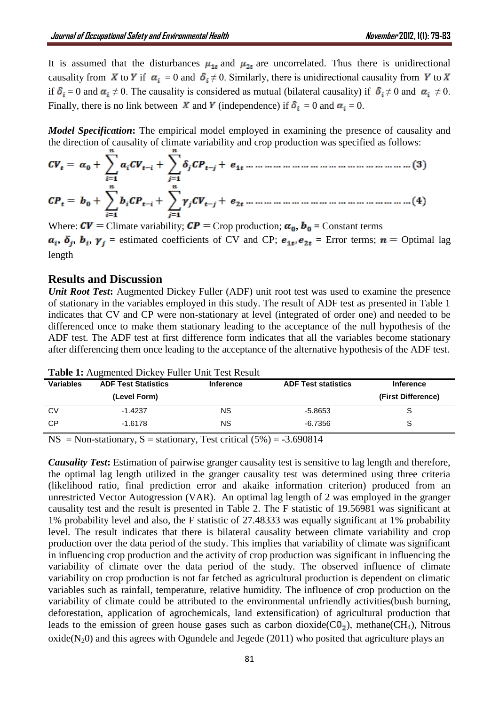It is assumed that the disturbances  $\mu_{1t}$  and  $\mu_{2t}$  are uncorrelated. Thus there is unidirectional causality from X to Y if  $\alpha_i = 0$  and  $\delta_i \neq 0$ . Similarly, there is unidirectional causality from Y to X if  $\delta_i = 0$  and  $\alpha_i \neq 0$ . The causality is considered as mutual (bilateral causality) if  $\delta_i \neq 0$  and  $\alpha_i \neq 0$ . Finally, there is no link between X and Y (independence) if  $\delta_i = 0$  and  $\alpha_i = 0$ .

*Model Specification***:** The empirical model employed in examining the presence of causality and the direction of causality of climate variability and crop production was specified as follows:

Where:  $CV =$  Climate variability;  $CP =$  Crop production;  $\alpha_0$ ,  $b_0 =$  Constant terms  $a_i$ ,  $\delta_j$ ,  $b_i$ ,  $\gamma_j$  = estimated coefficients of CV and CP;  $e_{1t}$ ,  $e_{2t}$  = Error terms;  $n =$  Optimal lag length

## **Results and Discussion**

*Unit Root Test*: Augmented Dickey Fuller (ADF) unit root test was used to examine the presence of stationary in the variables employed in this study. The result of ADF test as presented in Table 1 indicates that CV and CP were non-stationary at level (integrated of order one) and needed to be differenced once to make them stationary leading to the acceptance of the null hypothesis of the ADF test. The ADF test at first difference form indicates that all the variables become stationary after differencing them once leading to the acceptance of the alternative hypothesis of the ADF test.

| <b>Variables</b> | <b>ADF Test Statistics</b> | <b>Inference</b> | <b>ADF Test statistics</b> | <b>Inference</b>   |
|------------------|----------------------------|------------------|----------------------------|--------------------|
|                  | (Level Form)               |                  |                            | (First Difference) |
| <b>CV</b>        | $-1.4237$                  | <b>NS</b>        | $-5.8653$                  |                    |
| CP               | $-1.6178$                  | ΝS               | $-6.7356$                  |                    |

**Table 1:** Augmented Dickey Fuller Unit Test Result

 $NS = Non-stationary, S = stationary, Test critical (5%) = -3.690814$ 

*Causality Test***:** Estimation of pairwise granger causality test is sensitive to lag length and therefore, the optimal lag length utilized in the granger causality test was determined using three criteria (likelihood ratio, final prediction error and akaike information criterion) produced from an unrestricted Vector Autogression (VAR). An optimal lag length of 2 was employed in the granger causality test and the result is presented in Table 2. The F statistic of 19.56981 was significant at 1% probability level and also, the F statistic of 27.48333 was equally significant at 1% probability level. The result indicates that there is bilateral causality between climate variability and crop production over the data period of the study. This implies that variability of climate was significant in influencing crop production and the activity of crop production was significant in influencing the variability of climate over the data period of the study. The observed influence of climate variability on crop production is not far fetched as agricultural production is dependent on climatic variables such as rainfall, temperature, relative humidity. The influence of crop production on the variability of climate could be attributed to the environmental unfriendly activities(bush burning, deforestation, application of agrochemicals, land extensification) of agricultural production that leads to the emission of green house gases such as carbon dioxide( $CO<sub>2</sub>$ ), methane(CH<sub>4</sub>), Nitrous  $oxide(N_20)$  and this agrees with Ogundele and Jegede (2011) who posited that agriculture plays an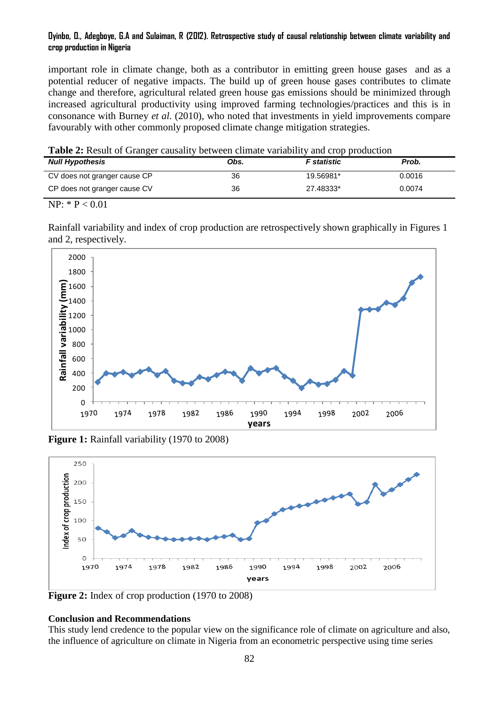### **Oyinbo, O., Adegboye, G.A and Sulaiman, R (2012). Retrospective study of causal relationship between climate variability and crop production in Nigeria**

important role in climate change, both as a contributor in emitting green house gases and as a potential reducer of negative impacts. The build up of green house gases contributes to climate change and therefore, agricultural related green house gas emissions should be minimized through increased agricultural productivity using improved farming technologies/practices and this is in consonance with Burney *et al.* (2010), who noted that investments in yield improvements compare favourably with other commonly proposed climate change mitigation strategies.

| <b>Table 2:</b> Result of Granger causality between climate variability and crop production |  |  |
|---------------------------------------------------------------------------------------------|--|--|
|---------------------------------------------------------------------------------------------|--|--|

| <b>Null Hypothesis</b>       | Obs. | <b>F</b> statistic | Prob.  |
|------------------------------|------|--------------------|--------|
| CV does not granger cause CP | 36   | 19.56981*          | 0.0016 |
| CP does not granger cause CV | 36   | 27.48333*          | 0.0074 |

 $NP: * P < 0.01$ 

Rainfall variability and index of crop production are retrospectively shown graphically in Figures 1 and 2, respectively.



**Figure 1:** Rainfall variability (1970 to 2008)



**Figure 2:** Index of crop production (1970 to 2008)

## **Conclusion and Recommendations**

This study lend credence to the popular view on the significance role of climate on agriculture and also, the influence of agriculture on climate in Nigeria from an econometric perspective using time series